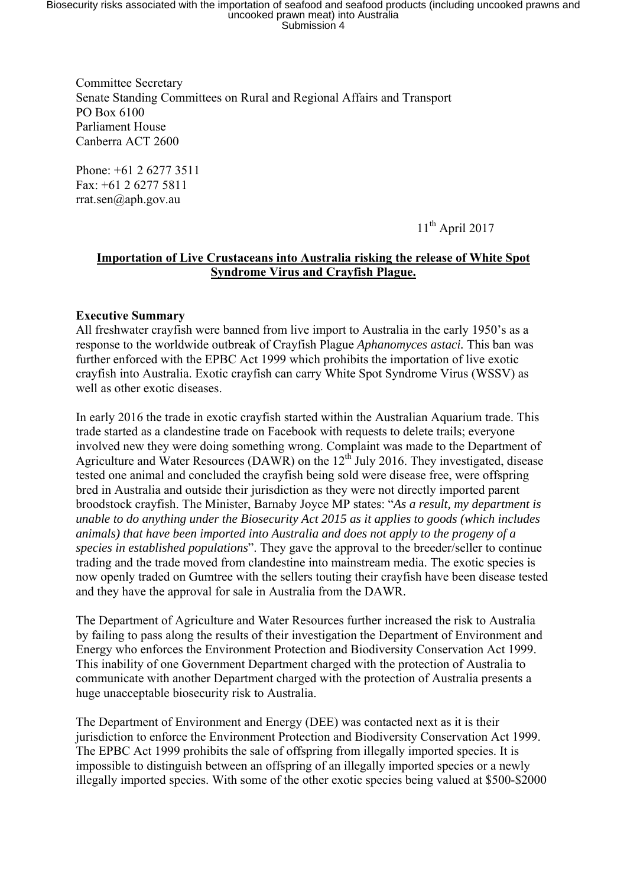Biosecurity risks associated with the importation of seafood and seafood products (including uncooked prawns and<br>uncooked prawn meat) into Australia<br>Submission 4

Committee Secretary Senate Standing Committees on Rural and Regional Affairs and Transport PO Box 6100 Parliament House Canberra ACT 2600

Phone: +61 2 6277 3511 Fax: +61 2 6277 5811 rrat.sen@aph.gov.au

 $11<sup>th</sup>$  April 2017

## **Importation of Live Crustaceans into Australia risking the release of White Spot Syndrome Virus and Crayfish Plague.**

## **Executive Summary**

All freshwater crayfish were banned from live import to Australia in the early 1950's as a response to the worldwide outbreak of Crayfish Plague *Aphanomyces astaci.* This ban was further enforced with the EPBC Act 1999 which prohibits the importation of live exotic crayfish into Australia. Exotic crayfish can carry White Spot Syndrome Virus (WSSV) as well as other exotic diseases.

In early 2016 the trade in exotic crayfish started within the Australian Aquarium trade. This trade started as a clandestine trade on Facebook with requests to delete trails; everyone involved new they were doing something wrong. Complaint was made to the Department of Agriculture and Water Resources (DAWR) on the  $12<sup>th</sup>$  July 2016. They investigated, disease tested one animal and concluded the crayfish being sold were disease free, were offspring bred in Australia and outside their jurisdiction as they were not directly imported parent broodstock crayfish. The Minister, Barnaby Joyce MP states: "*As a result, my department is unable to do anything under the Biosecurity Act 2015 as it applies to goods (which includes animals) that have been imported into Australia and does not apply to the progeny of a species in established populations*". They gave the approval to the breeder/seller to continue trading and the trade moved from clandestine into mainstream media. The exotic species is now openly traded on Gumtree with the sellers touting their crayfish have been disease tested and they have the approval for sale in Australia from the DAWR.

The Department of Agriculture and Water Resources further increased the risk to Australia by failing to pass along the results of their investigation the Department of Environment and Energy who enforces the Environment Protection and Biodiversity Conservation Act 1999. This inability of one Government Department charged with the protection of Australia to communicate with another Department charged with the protection of Australia presents a huge unacceptable biosecurity risk to Australia.

The Department of Environment and Energy (DEE) was contacted next as it is their jurisdiction to enforce the Environment Protection and Biodiversity Conservation Act 1999. The EPBC Act 1999 prohibits the sale of offspring from illegally imported species. It is impossible to distinguish between an offspring of an illegally imported species or a newly illegally imported species. With some of the other exotic species being valued at \$500-\$2000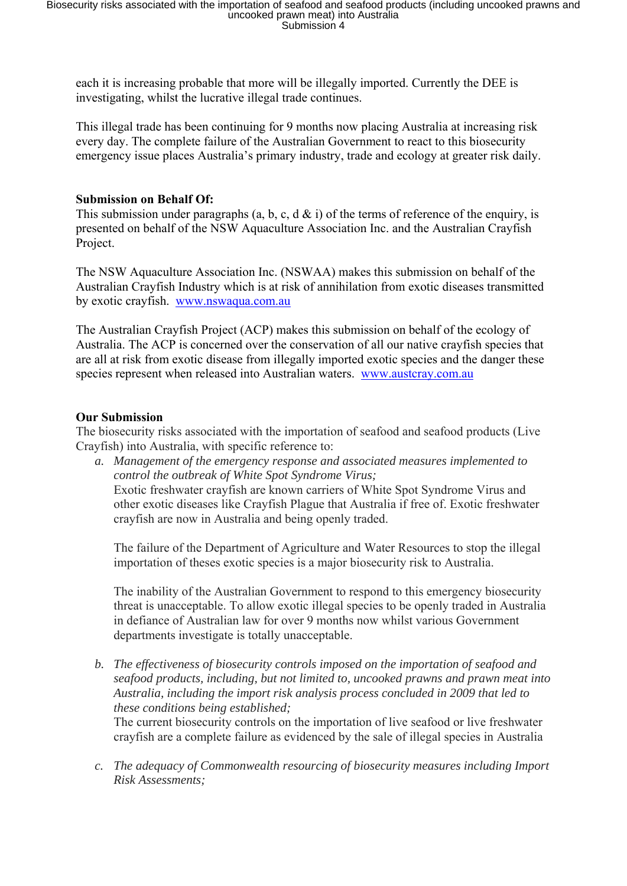each it is increasing probable that more will be illegally imported. Currently the DEE is investigating, whilst the lucrative illegal trade continues.

This illegal trade has been continuing for 9 months now placing Australia at increasing risk every day. The complete failure of the Australian Government to react to this biosecurity emergency issue places Australia's primary industry, trade and ecology at greater risk daily.

## **Submission on Behalf Of:**

This submission under paragraphs (a, b, c, d  $\&$  i) of the terms of reference of the enquiry, is presented on behalf of the NSW Aquaculture Association Inc. and the Australian Crayfish Project.

The NSW Aquaculture Association Inc. (NSWAA) makes this submission on behalf of the Australian Crayfish Industry which is at risk of annihilation from exotic diseases transmitted by exotic crayfish. www.nswaqua.com.au

The Australian Crayfish Project (ACP) makes this submission on behalf of the ecology of Australia. The ACP is concerned over the conservation of all our native crayfish species that are all at risk from exotic disease from illegally imported exotic species and the danger these species represent when released into Australian waters. www.austcray.com.au

## **Our Submission**

The biosecurity risks associated with the importation of seafood and seafood products (Live Crayfish) into Australia, with specific reference to:

*a. Management of the emergency response and associated measures implemented to control the outbreak of White Spot Syndrome Virus;*  Exotic freshwater crayfish are known carriers of White Spot Syndrome Virus and other exotic diseases like Crayfish Plague that Australia if free of. Exotic freshwater crayfish are now in Australia and being openly traded.

The failure of the Department of Agriculture and Water Resources to stop the illegal importation of theses exotic species is a major biosecurity risk to Australia.

The inability of the Australian Government to respond to this emergency biosecurity threat is unacceptable. To allow exotic illegal species to be openly traded in Australia in defiance of Australian law for over 9 months now whilst various Government departments investigate is totally unacceptable.

*b. The effectiveness of biosecurity controls imposed on the importation of seafood and seafood products, including, but not limited to, uncooked prawns and prawn meat into Australia, including the import risk analysis process concluded in 2009 that led to these conditions being established;* 

The current biosecurity controls on the importation of live seafood or live freshwater crayfish are a complete failure as evidenced by the sale of illegal species in Australia

*c. The adequacy of Commonwealth resourcing of biosecurity measures including Import Risk Assessments;*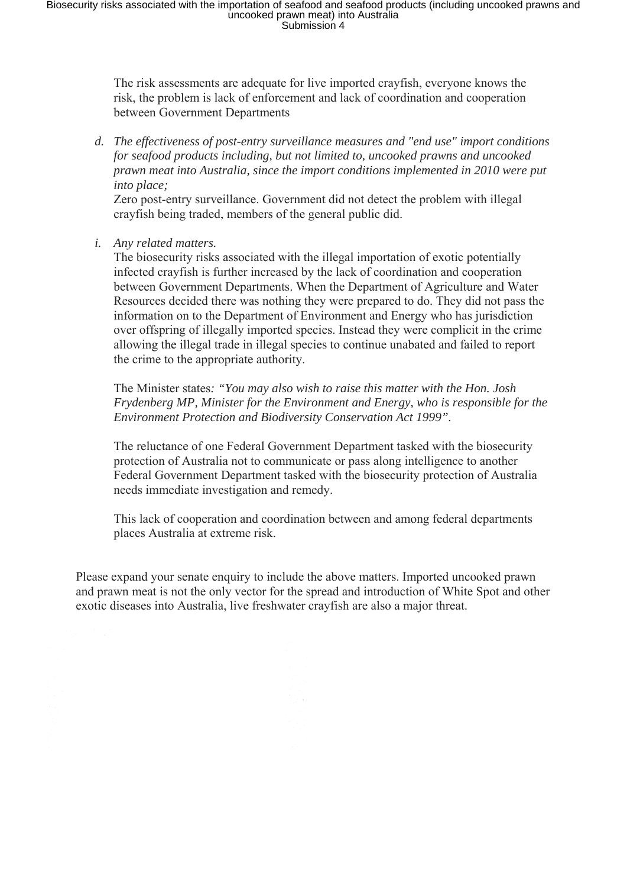Biosecurity risks associated with the importation of seafood and seafood products (including uncooked prawns and<br>uncooked prawn meat) into Australia<br>Submission 4

The risk assessments are adequate for live imported crayfish, everyone knows the risk, the problem is lack of enforcement and lack of coordination and cooperation between Government Departments

*d. The effectiveness of post-entry surveillance measures and "end use" import conditions for seafood products including, but not limited to, uncooked prawns and uncooked prawn meat into Australia, since the import conditions implemented in 2010 were put into place;* 

Zero post-entry surveillance. Government did not detect the problem with illegal crayfish being traded, members of the general public did.

*i. Any related matters.* 

The biosecurity risks associated with the illegal importation of exotic potentially infected crayfish is further increased by the lack of coordination and cooperation between Government Departments. When the Department of Agriculture and Water Resources decided there was nothing they were prepared to do. They did not pass the information on to the Department of Environment and Energy who has jurisdiction over offspring of illegally imported species. Instead they were complicit in the crime allowing the illegal trade in illegal species to continue unabated and failed to report the crime to the appropriate authority.

The Minister states*: "You may also wish to raise this matter with the Hon. Josh Frydenberg MP, Minister for the Environment and Energy, who is responsible for the Environment Protection and Biodiversity Conservation Act 1999".*

The reluctance of one Federal Government Department tasked with the biosecurity protection of Australia not to communicate or pass along intelligence to another Federal Government Department tasked with the biosecurity protection of Australia needs immediate investigation and remedy.

This lack of cooperation and coordination between and among federal departments places Australia at extreme risk.

Please expand your senate enquiry to include the above matters. Imported uncooked prawn and prawn meat is not the only vector for the spread and introduction of White Spot and other exotic diseases into Australia, live freshwater crayfish are also a major threat.